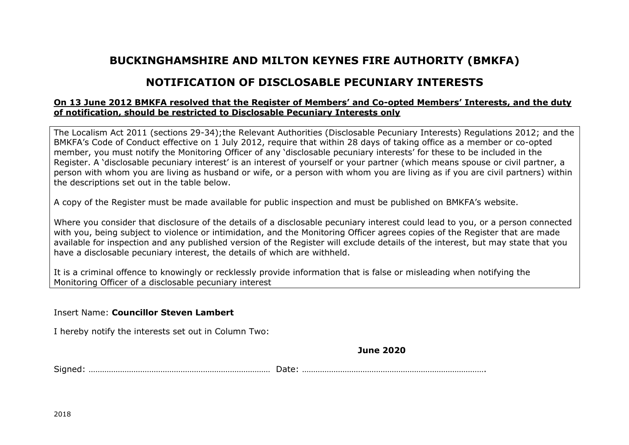## **BUCKINGHAMSHIRE AND MILTON KEYNES FIRE AUTHORITY (BMKFA)**

## **NOTIFICATION OF DISCLOSABLE PECUNIARY INTERESTS**

## **On 13 June 2012 BMKFA resolved that the Register of Members' and Co-opted Members' Interests, and the duty of notification, should be restricted to Disclosable Pecuniary Interests only**

The Localism Act 2011 (sections 29-34);the Relevant Authorities (Disclosable Pecuniary Interests) Regulations 2012; and the BMKFA's Code of Conduct effective on 1 July 2012, require that within 28 days of taking office as a member or co-opted member, you must notify the Monitoring Officer of any 'disclosable pecuniary interests' for these to be included in the Register. A 'disclosable pecuniary interest' is an interest of yourself or your partner (which means spouse or civil partner, a person with whom you are living as husband or wife, or a person with whom you are living as if you are civil partners) within the descriptions set out in the table below.

A copy of the Register must be made available for public inspection and must be published on BMKFA's website.

Where you consider that disclosure of the details of a disclosable pecuniary interest could lead to you, or a person connected with you, being subject to violence or intimidation, and the Monitoring Officer agrees copies of the Register that are made available for inspection and any published version of the Register will exclude details of the interest, but may state that you have a disclosable pecuniary interest, the details of which are withheld.

It is a criminal offence to knowingly or recklessly provide information that is false or misleading when notifying the Monitoring Officer of a disclosable pecuniary interest

Insert Name: **Councillor Steven Lambert**

I hereby notify the interests set out in Column Two:

**June 2020**

Signed: ……………………………………………………………………… Date: ……………………………………………………………………….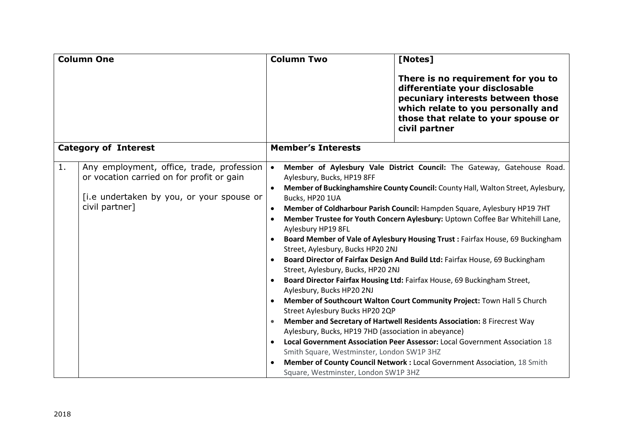| <b>Column One</b>                                                                                                                                           |  | <b>Column Two</b>                                                                                                                                                                                                                                                                                                                                                                                                                                                                                                                                                                                                                                                                                                                                                                                                                                                                                                                                                                                                                                                                                                                                                                                                                                                                                                                      |  | [Notes]                                                                                                                                                                                                 |  |
|-------------------------------------------------------------------------------------------------------------------------------------------------------------|--|----------------------------------------------------------------------------------------------------------------------------------------------------------------------------------------------------------------------------------------------------------------------------------------------------------------------------------------------------------------------------------------------------------------------------------------------------------------------------------------------------------------------------------------------------------------------------------------------------------------------------------------------------------------------------------------------------------------------------------------------------------------------------------------------------------------------------------------------------------------------------------------------------------------------------------------------------------------------------------------------------------------------------------------------------------------------------------------------------------------------------------------------------------------------------------------------------------------------------------------------------------------------------------------------------------------------------------------|--|---------------------------------------------------------------------------------------------------------------------------------------------------------------------------------------------------------|--|
|                                                                                                                                                             |  |                                                                                                                                                                                                                                                                                                                                                                                                                                                                                                                                                                                                                                                                                                                                                                                                                                                                                                                                                                                                                                                                                                                                                                                                                                                                                                                                        |  | There is no requirement for you to<br>differentiate your disclosable<br>pecuniary interests between those<br>which relate to you personally and<br>those that relate to your spouse or<br>civil partner |  |
| <b>Category of Interest</b>                                                                                                                                 |  | <b>Member's Interests</b>                                                                                                                                                                                                                                                                                                                                                                                                                                                                                                                                                                                                                                                                                                                                                                                                                                                                                                                                                                                                                                                                                                                                                                                                                                                                                                              |  |                                                                                                                                                                                                         |  |
| 1.<br>Any employment, office, trade, profession<br>or vocation carried on for profit or gain<br>[i.e undertaken by you, or your spouse or<br>civil partner] |  | Member of Aylesbury Vale District Council: The Gateway, Gatehouse Road.<br>$\bullet$<br>Aylesbury, Bucks, HP19 8FF<br>Member of Buckinghamshire County Council: County Hall, Walton Street, Aylesbury,<br>Bucks, HP20 1UA<br>Member of Coldharbour Parish Council: Hampden Square, Aylesbury HP19 7HT<br>$\bullet$<br>Member Trustee for Youth Concern Aylesbury: Uptown Coffee Bar Whitehill Lane,<br>$\bullet$<br>Aylesbury HP19 8FL<br>Board Member of Vale of Aylesbury Housing Trust : Fairfax House, 69 Buckingham<br>Street, Aylesbury, Bucks HP20 2NJ<br>Board Director of Fairfax Design And Build Ltd: Fairfax House, 69 Buckingham<br>$\bullet$<br>Street, Aylesbury, Bucks, HP20 2NJ<br>Board Director Fairfax Housing Ltd: Fairfax House, 69 Buckingham Street,<br>$\bullet$<br>Aylesbury, Bucks HP20 2NJ<br>Member of Southcourt Walton Court Community Project: Town Hall 5 Church<br>Street Aylesbury Bucks HP20 2QP<br>Member and Secretary of Hartwell Residents Association: 8 Firecrest Way<br>Aylesbury, Bucks, HP19 7HD (association in abeyance)<br>Local Government Association Peer Assessor: Local Government Association 18<br>$\bullet$<br>Smith Square, Westminster, London SW1P 3HZ<br>Member of County Council Network : Local Government Association, 18 Smith<br>Square, Westminster, London SW1P 3HZ |  |                                                                                                                                                                                                         |  |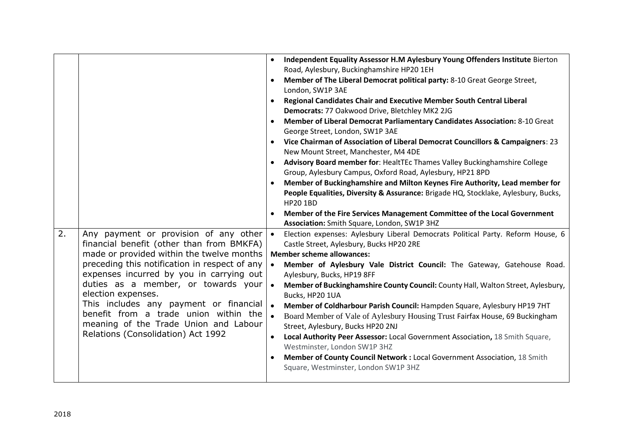| 2.                                            | Any payment or provision of any other $\cdot$<br>financial benefit (other than from BMKFA)                                                                                                                                                                              | $\bullet$<br>$\bullet$<br>$\bullet$<br>$\bullet$<br>$\bullet$<br>$\bullet$<br>$\bullet$ | Independent Equality Assessor H.M Aylesbury Young Offenders Institute Bierton<br>Road, Aylesbury, Buckinghamshire HP20 1EH<br>Member of The Liberal Democrat political party: 8-10 Great George Street,<br>London, SW1P 3AE<br>Regional Candidates Chair and Executive Member South Central Liberal<br>Democrats: 77 Oakwood Drive, Bletchley MK2 2JG<br>Member of Liberal Democrat Parliamentary Candidates Association: 8-10 Great<br>George Street, London, SW1P 3AE<br>Vice Chairman of Association of Liberal Democrat Councillors & Campaigners: 23<br>New Mount Street, Manchester, M4 4DE<br>Advisory Board member for: HealtTEc Thames Valley Buckinghamshire College<br>Group, Aylesbury Campus, Oxford Road, Aylesbury, HP21 8PD<br>Member of Buckinghamshire and Milton Keynes Fire Authority, Lead member for<br>People Equalities, Diversity & Assurance: Brigade HQ, Stocklake, Aylesbury, Bucks,<br><b>HP20 1BD</b><br>Member of the Fire Services Management Committee of the Local Government<br>Association: Smith Square, London, SW1P 3HZ<br>Election expenses: Aylesbury Liberal Democrats Political Party. Reform House, 6<br>Castle Street, Aylesbury, Bucks HP20 2RE<br><b>Member scheme allowances:</b> |
|-----------------------------------------------|-------------------------------------------------------------------------------------------------------------------------------------------------------------------------------------------------------------------------------------------------------------------------|-----------------------------------------------------------------------------------------|-----------------------------------------------------------------------------------------------------------------------------------------------------------------------------------------------------------------------------------------------------------------------------------------------------------------------------------------------------------------------------------------------------------------------------------------------------------------------------------------------------------------------------------------------------------------------------------------------------------------------------------------------------------------------------------------------------------------------------------------------------------------------------------------------------------------------------------------------------------------------------------------------------------------------------------------------------------------------------------------------------------------------------------------------------------------------------------------------------------------------------------------------------------------------------------------------------------------------------------|
|                                               |                                                                                                                                                                                                                                                                         |                                                                                         |                                                                                                                                                                                                                                                                                                                                                                                                                                                                                                                                                                                                                                                                                                                                                                                                                                                                                                                                                                                                                                                                                                                                                                                                                                   |
|                                               |                                                                                                                                                                                                                                                                         |                                                                                         |                                                                                                                                                                                                                                                                                                                                                                                                                                                                                                                                                                                                                                                                                                                                                                                                                                                                                                                                                                                                                                                                                                                                                                                                                                   |
|                                               |                                                                                                                                                                                                                                                                         |                                                                                         |                                                                                                                                                                                                                                                                                                                                                                                                                                                                                                                                                                                                                                                                                                                                                                                                                                                                                                                                                                                                                                                                                                                                                                                                                                   |
|                                               |                                                                                                                                                                                                                                                                         |                                                                                         |                                                                                                                                                                                                                                                                                                                                                                                                                                                                                                                                                                                                                                                                                                                                                                                                                                                                                                                                                                                                                                                                                                                                                                                                                                   |
|                                               |                                                                                                                                                                                                                                                                         |                                                                                         |                                                                                                                                                                                                                                                                                                                                                                                                                                                                                                                                                                                                                                                                                                                                                                                                                                                                                                                                                                                                                                                                                                                                                                                                                                   |
|                                               |                                                                                                                                                                                                                                                                         |                                                                                         |                                                                                                                                                                                                                                                                                                                                                                                                                                                                                                                                                                                                                                                                                                                                                                                                                                                                                                                                                                                                                                                                                                                                                                                                                                   |
|                                               |                                                                                                                                                                                                                                                                         |                                                                                         |                                                                                                                                                                                                                                                                                                                                                                                                                                                                                                                                                                                                                                                                                                                                                                                                                                                                                                                                                                                                                                                                                                                                                                                                                                   |
|                                               |                                                                                                                                                                                                                                                                         |                                                                                         |                                                                                                                                                                                                                                                                                                                                                                                                                                                                                                                                                                                                                                                                                                                                                                                                                                                                                                                                                                                                                                                                                                                                                                                                                                   |
|                                               | made or provided within the twelve months                                                                                                                                                                                                                               |                                                                                         |                                                                                                                                                                                                                                                                                                                                                                                                                                                                                                                                                                                                                                                                                                                                                                                                                                                                                                                                                                                                                                                                                                                                                                                                                                   |
| preceding this notification in respect of any |                                                                                                                                                                                                                                                                         |                                                                                         | Member of Aylesbury Vale District Council: The Gateway, Gatehouse Road.                                                                                                                                                                                                                                                                                                                                                                                                                                                                                                                                                                                                                                                                                                                                                                                                                                                                                                                                                                                                                                                                                                                                                           |
|                                               | expenses incurred by you in carrying out<br>duties as a member, or towards your<br>election expenses.<br>This includes any payment or financial<br>benefit from a trade union within the<br>meaning of the Trade Union and Labour<br>Relations (Consolidation) Act 1992 |                                                                                         | Aylesbury, Bucks, HP19 8FF                                                                                                                                                                                                                                                                                                                                                                                                                                                                                                                                                                                                                                                                                                                                                                                                                                                                                                                                                                                                                                                                                                                                                                                                        |
|                                               |                                                                                                                                                                                                                                                                         |                                                                                         | Member of Buckinghamshire County Council: County Hall, Walton Street, Aylesbury,                                                                                                                                                                                                                                                                                                                                                                                                                                                                                                                                                                                                                                                                                                                                                                                                                                                                                                                                                                                                                                                                                                                                                  |
|                                               |                                                                                                                                                                                                                                                                         |                                                                                         | Bucks, HP20 1UA                                                                                                                                                                                                                                                                                                                                                                                                                                                                                                                                                                                                                                                                                                                                                                                                                                                                                                                                                                                                                                                                                                                                                                                                                   |
|                                               |                                                                                                                                                                                                                                                                         | $\bullet$                                                                               | Member of Coldharbour Parish Council: Hampden Square, Aylesbury HP19 7HT                                                                                                                                                                                                                                                                                                                                                                                                                                                                                                                                                                                                                                                                                                                                                                                                                                                                                                                                                                                                                                                                                                                                                          |
|                                               |                                                                                                                                                                                                                                                                         |                                                                                         | Board Member of Vale of Aylesbury Housing Trust Fairfax House, 69 Buckingham                                                                                                                                                                                                                                                                                                                                                                                                                                                                                                                                                                                                                                                                                                                                                                                                                                                                                                                                                                                                                                                                                                                                                      |
|                                               |                                                                                                                                                                                                                                                                         |                                                                                         | Street, Aylesbury, Bucks HP20 2NJ                                                                                                                                                                                                                                                                                                                                                                                                                                                                                                                                                                                                                                                                                                                                                                                                                                                                                                                                                                                                                                                                                                                                                                                                 |
|                                               |                                                                                                                                                                                                                                                                         | $\bullet$                                                                               | Local Authority Peer Assessor: Local Government Association, 18 Smith Square,                                                                                                                                                                                                                                                                                                                                                                                                                                                                                                                                                                                                                                                                                                                                                                                                                                                                                                                                                                                                                                                                                                                                                     |
|                                               |                                                                                                                                                                                                                                                                         |                                                                                         | Westminster, London SW1P 3HZ                                                                                                                                                                                                                                                                                                                                                                                                                                                                                                                                                                                                                                                                                                                                                                                                                                                                                                                                                                                                                                                                                                                                                                                                      |
|                                               |                                                                                                                                                                                                                                                                         | $\bullet$                                                                               | Member of County Council Network : Local Government Association, 18 Smith                                                                                                                                                                                                                                                                                                                                                                                                                                                                                                                                                                                                                                                                                                                                                                                                                                                                                                                                                                                                                                                                                                                                                         |
|                                               |                                                                                                                                                                                                                                                                         |                                                                                         | Square, Westminster, London SW1P 3HZ                                                                                                                                                                                                                                                                                                                                                                                                                                                                                                                                                                                                                                                                                                                                                                                                                                                                                                                                                                                                                                                                                                                                                                                              |
|                                               |                                                                                                                                                                                                                                                                         |                                                                                         |                                                                                                                                                                                                                                                                                                                                                                                                                                                                                                                                                                                                                                                                                                                                                                                                                                                                                                                                                                                                                                                                                                                                                                                                                                   |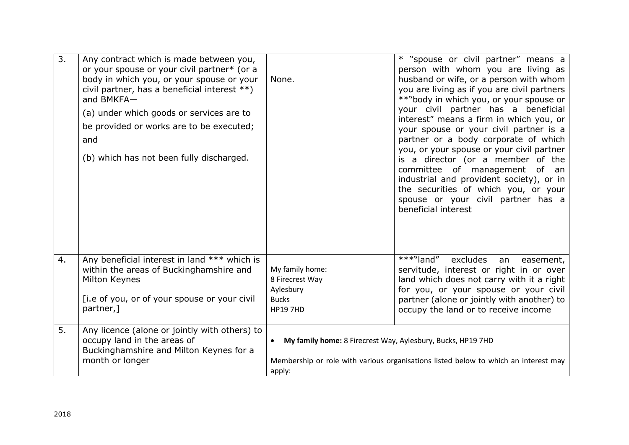| $\overline{3}$ . | Any contract which is made between you,<br>or your spouse or your civil partner* (or a<br>body in which you, or your spouse or your<br>civil partner, has a beneficial interest **)<br>and BMKFA-<br>(a) under which goods or services are to<br>be provided or works are to be executed;<br>and<br>(b) which has not been fully discharged. | None.                                                                              | * "spouse or civil partner" means a<br>person with whom you are living as<br>husband or wife, or a person with whom<br>you are living as if you are civil partners<br>**"body in which you, or your spouse or<br>your civil partner has a beneficial<br>interest" means a firm in which you, or<br>your spouse or your civil partner is a<br>partner or a body corporate of which<br>you, or your spouse or your civil partner<br>is a director (or a member of the<br>committee of management of an<br>industrial and provident society), or in<br>the securities of which you, or your<br>spouse or your civil partner has a<br>beneficial interest |
|------------------|----------------------------------------------------------------------------------------------------------------------------------------------------------------------------------------------------------------------------------------------------------------------------------------------------------------------------------------------|------------------------------------------------------------------------------------|-------------------------------------------------------------------------------------------------------------------------------------------------------------------------------------------------------------------------------------------------------------------------------------------------------------------------------------------------------------------------------------------------------------------------------------------------------------------------------------------------------------------------------------------------------------------------------------------------------------------------------------------------------|
| 4.               | Any beneficial interest in land *** which is<br>within the areas of Buckinghamshire and<br>Milton Keynes<br>[i.e of you, or of your spouse or your civil<br>partner,]                                                                                                                                                                        | My family home:<br>8 Firecrest Way<br>Aylesbury<br><b>Bucks</b><br><b>HP19 7HD</b> | ***"land"<br>excludes<br>an<br>easement,<br>servitude, interest or right in or over<br>land which does not carry with it a right<br>for you, or your spouse or your civil<br>partner (alone or jointly with another) to<br>occupy the land or to receive income                                                                                                                                                                                                                                                                                                                                                                                       |
| 5.               | Any licence (alone or jointly with others) to<br>occupy land in the areas of<br>Buckinghamshire and Milton Keynes for a<br>month or longer                                                                                                                                                                                                   | My family home: 8 Firecrest Way, Aylesbury, Bucks, HP19 7HD<br>$\bullet$<br>apply: | Membership or role with various organisations listed below to which an interest may                                                                                                                                                                                                                                                                                                                                                                                                                                                                                                                                                                   |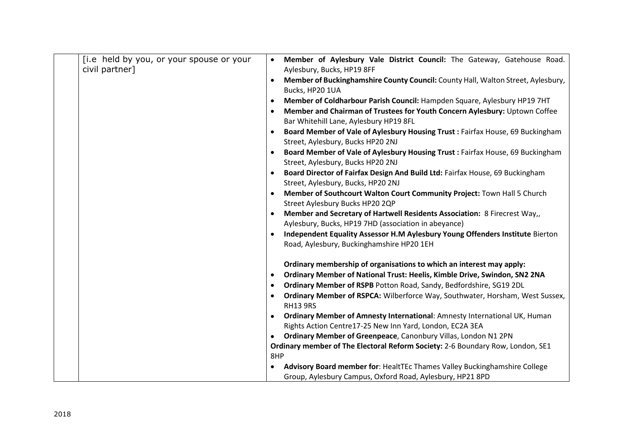| [i.e held by you, or your spouse or your | Member of Aylesbury Vale District Council: The Gateway, Gatehouse Road.                       |
|------------------------------------------|-----------------------------------------------------------------------------------------------|
| civil partner]                           | Aylesbury, Bucks, HP19 8FF                                                                    |
|                                          | Member of Buckinghamshire County Council: County Hall, Walton Street, Aylesbury,<br>$\bullet$ |
|                                          | Bucks, HP20 1UA                                                                               |
|                                          | Member of Coldharbour Parish Council: Hampden Square, Aylesbury HP19 7HT<br>$\bullet$         |
|                                          | Member and Chairman of Trustees for Youth Concern Aylesbury: Uptown Coffee<br>$\bullet$       |
|                                          | Bar Whitehill Lane, Aylesbury HP19 8FL                                                        |
|                                          | Board Member of Vale of Aylesbury Housing Trust: Fairfax House, 69 Buckingham<br>$\bullet$    |
|                                          | Street, Aylesbury, Bucks HP20 2NJ                                                             |
|                                          | Board Member of Vale of Aylesbury Housing Trust : Fairfax House, 69 Buckingham<br>$\bullet$   |
|                                          | Street, Aylesbury, Bucks HP20 2NJ                                                             |
|                                          | Board Director of Fairfax Design And Build Ltd: Fairfax House, 69 Buckingham                  |
|                                          | Street, Aylesbury, Bucks, HP20 2NJ                                                            |
|                                          | Member of Southcourt Walton Court Community Project: Town Hall 5 Church                       |
|                                          | Street Aylesbury Bucks HP20 2QP                                                               |
|                                          | Member and Secretary of Hartwell Residents Association: 8 Firecrest Way,,<br>$\bullet$        |
|                                          | Aylesbury, Bucks, HP19 7HD (association in abeyance)                                          |
|                                          | Independent Equality Assessor H.M Aylesbury Young Offenders Institute Bierton                 |
|                                          | Road, Aylesbury, Buckinghamshire HP20 1EH                                                     |
|                                          | Ordinary membership of organisations to which an interest may apply:                          |
|                                          | Ordinary Member of National Trust: Heelis, Kimble Drive, Swindon, SN2 2NA<br>$\bullet$        |
|                                          | Ordinary Member of RSPB Potton Road, Sandy, Bedfordshire, SG19 2DL<br>$\bullet$               |
|                                          | Ordinary Member of RSPCA: Wilberforce Way, Southwater, Horsham, West Sussex,<br>$\bullet$     |
|                                          | <b>RH13 9RS</b>                                                                               |
|                                          | Ordinary Member of Amnesty International: Amnesty International UK, Human                     |
|                                          | Rights Action Centre17-25 New Inn Yard, London, EC2A 3EA                                      |
|                                          | Ordinary Member of Greenpeace, Canonbury Villas, London N1 2PN<br>$\bullet$                   |
|                                          | Ordinary member of The Electoral Reform Society: 2-6 Boundary Row, London, SE1                |
|                                          | 8HP                                                                                           |
|                                          | Advisory Board member for: HealtTEc Thames Valley Buckinghamshire College<br>$\bullet$        |
|                                          | Group, Aylesbury Campus, Oxford Road, Aylesbury, HP21 8PD                                     |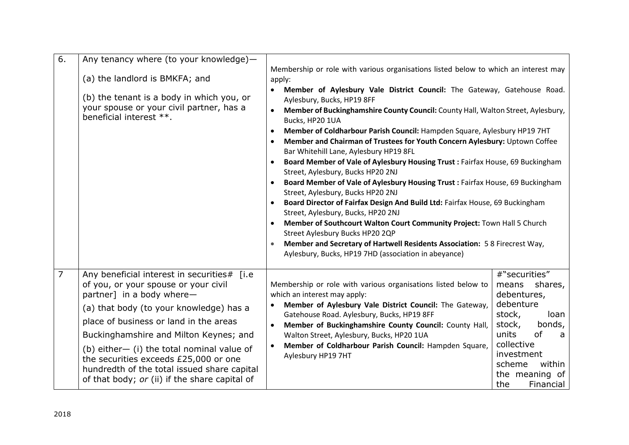| 6.             | Any tenancy where (to your knowledge)-                                                                                                                                              |                                                                                                                                   |                                    |  |  |  |
|----------------|-------------------------------------------------------------------------------------------------------------------------------------------------------------------------------------|-----------------------------------------------------------------------------------------------------------------------------------|------------------------------------|--|--|--|
|                |                                                                                                                                                                                     | Membership or role with various organisations listed below to which an interest may                                               |                                    |  |  |  |
|                | (a) the landlord is BMKFA; and                                                                                                                                                      | apply:                                                                                                                            |                                    |  |  |  |
|                | (b) the tenant is a body in which you, or                                                                                                                                           | Member of Aylesbury Vale District Council: The Gateway, Gatehouse Road.                                                           |                                    |  |  |  |
|                | your spouse or your civil partner, has a<br>beneficial interest **.                                                                                                                 | Aylesbury, Bucks, HP19 8FF<br>Member of Buckinghamshire County Council: County Hall, Walton Street, Aylesbury,<br>Bucks, HP20 1UA |                                    |  |  |  |
|                |                                                                                                                                                                                     |                                                                                                                                   |                                    |  |  |  |
|                |                                                                                                                                                                                     | Member of Coldharbour Parish Council: Hampden Square, Aylesbury HP19 7HT<br>$\bullet$                                             |                                    |  |  |  |
|                |                                                                                                                                                                                     | Member and Chairman of Trustees for Youth Concern Aylesbury: Uptown Coffee<br>Bar Whitehill Lane, Aylesbury HP19 8FL              |                                    |  |  |  |
|                |                                                                                                                                                                                     | Board Member of Vale of Aylesbury Housing Trust : Fairfax House, 69 Buckingham                                                    |                                    |  |  |  |
|                |                                                                                                                                                                                     | Street, Aylesbury, Bucks HP20 2NJ                                                                                                 |                                    |  |  |  |
|                |                                                                                                                                                                                     | Board Member of Vale of Aylesbury Housing Trust : Fairfax House, 69 Buckingham                                                    |                                    |  |  |  |
|                |                                                                                                                                                                                     | Street, Aylesbury, Bucks HP20 2NJ                                                                                                 |                                    |  |  |  |
|                |                                                                                                                                                                                     | Board Director of Fairfax Design And Build Ltd: Fairfax House, 69 Buckingham<br>Street, Aylesbury, Bucks, HP20 2NJ                |                                    |  |  |  |
|                |                                                                                                                                                                                     | Member of Southcourt Walton Court Community Project: Town Hall 5 Church                                                           |                                    |  |  |  |
|                |                                                                                                                                                                                     | Street Aylesbury Bucks HP20 2QP                                                                                                   |                                    |  |  |  |
|                |                                                                                                                                                                                     | Member and Secretary of Hartwell Residents Association: 58 Firecrest Way,                                                         |                                    |  |  |  |
|                |                                                                                                                                                                                     | Aylesbury, Bucks, HP19 7HD (association in abeyance)                                                                              |                                    |  |  |  |
| $\overline{7}$ | Any beneficial interest in securities# [i.e                                                                                                                                         |                                                                                                                                   | #"securities"                      |  |  |  |
|                | of you, or your spouse or your civil                                                                                                                                                | Membership or role with various organisations listed below to                                                                     | shares,<br>means                   |  |  |  |
|                | partner] in a body where-                                                                                                                                                           | which an interest may apply:                                                                                                      | debentures,                        |  |  |  |
|                | (a) that body (to your knowledge) has a                                                                                                                                             | Member of Aylesbury Vale District Council: The Gateway,                                                                           | debenture                          |  |  |  |
|                | place of business or land in the areas                                                                                                                                              | Gatehouse Road. Aylesbury, Bucks, HP19 8FF<br>Member of Buckinghamshire County Council: County Hall,<br>$\bullet$                 | stock,<br>loan<br>bonds,<br>stock, |  |  |  |
|                | Buckinghamshire and Milton Keynes; and                                                                                                                                              | Walton Street, Aylesbury, Bucks, HP20 1UA                                                                                         | units<br><b>of</b><br>a            |  |  |  |
|                | (b) either- (i) the total nominal value of<br>the securities exceeds £25,000 or one<br>hundredth of the total issued share capital<br>of that body; or (ii) if the share capital of | Member of Coldharbour Parish Council: Hampden Square,                                                                             | collective                         |  |  |  |
|                |                                                                                                                                                                                     | Aylesbury HP19 7HT                                                                                                                | investment<br>scheme               |  |  |  |
|                |                                                                                                                                                                                     |                                                                                                                                   | within<br>the meaning of           |  |  |  |
|                |                                                                                                                                                                                     |                                                                                                                                   | Financial<br>the                   |  |  |  |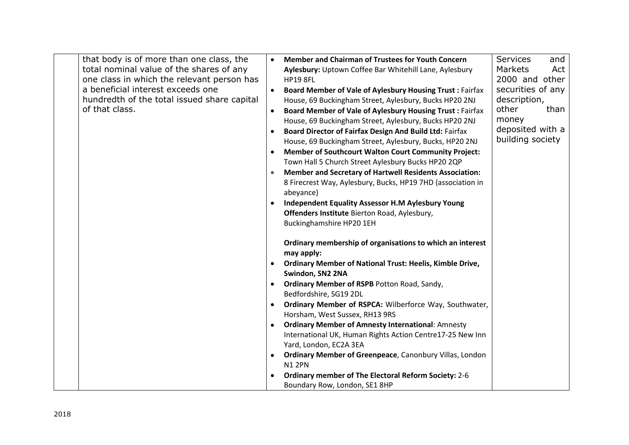| that body is of more than one class, the<br>total nominal value of the shares of any<br>one class in which the relevant person has<br>a beneficial interest exceeds one<br>hundredth of the total issued share capital<br>of that class. | <b>Member and Chairman of Trustees for Youth Concern</b><br>Aylesbury: Uptown Coffee Bar Whitehill Lane, Aylesbury<br><b>HP19 8FL</b><br><b>Board Member of Vale of Aylesbury Housing Trust: Fairfax</b><br>$\bullet$<br>House, 69 Buckingham Street, Aylesbury, Bucks HP20 2NJ<br><b>Board Member of Vale of Aylesbury Housing Trust: Fairfax</b><br>House, 69 Buckingham Street, Aylesbury, Bucks HP20 2NJ<br>Board Director of Fairfax Design And Build Ltd: Fairfax<br>$\bullet$<br>House, 69 Buckingham Street, Aylesbury, Bucks, HP20 2NJ<br><b>Member of Southcourt Walton Court Community Project:</b><br>$\bullet$<br>Town Hall 5 Church Street Aylesbury Bucks HP20 2QP<br><b>Member and Secretary of Hartwell Residents Association:</b><br>$\bullet$<br>8 Firecrest Way, Aylesbury, Bucks, HP19 7HD (association in<br>abeyance)<br><b>Independent Equality Assessor H.M Aylesbury Young</b><br>$\bullet$<br>Offenders Institute Bierton Road, Aylesbury,<br>Buckinghamshire HP20 1EH | <b>Services</b><br>and<br><b>Markets</b><br>Act<br>2000 and other<br>securities of any<br>description,<br>other<br>than<br>money<br>deposited with a<br>building society |
|------------------------------------------------------------------------------------------------------------------------------------------------------------------------------------------------------------------------------------------|---------------------------------------------------------------------------------------------------------------------------------------------------------------------------------------------------------------------------------------------------------------------------------------------------------------------------------------------------------------------------------------------------------------------------------------------------------------------------------------------------------------------------------------------------------------------------------------------------------------------------------------------------------------------------------------------------------------------------------------------------------------------------------------------------------------------------------------------------------------------------------------------------------------------------------------------------------------------------------------------------|--------------------------------------------------------------------------------------------------------------------------------------------------------------------------|
|                                                                                                                                                                                                                                          | Ordinary membership of organisations to which an interest<br>may apply:<br><b>Ordinary Member of National Trust: Heelis, Kimble Drive,</b><br>$\bullet$<br>Swindon, SN2 2NA<br>Ordinary Member of RSPB Potton Road, Sandy,<br>$\bullet$<br>Bedfordshire, SG19 2DL<br>Ordinary Member of RSPCA: Wilberforce Way, Southwater,<br>$\bullet$<br>Horsham, West Sussex, RH13 9RS<br><b>Ordinary Member of Amnesty International: Amnesty</b><br>International UK, Human Rights Action Centre17-25 New Inn<br>Yard, London, EC2A 3EA<br>Ordinary Member of Greenpeace, Canonbury Villas, London<br><b>N12PN</b><br><b>Ordinary member of The Electoral Reform Society: 2-6</b><br>Boundary Row, London, SE1 8HP                                                                                                                                                                                                                                                                                          |                                                                                                                                                                          |